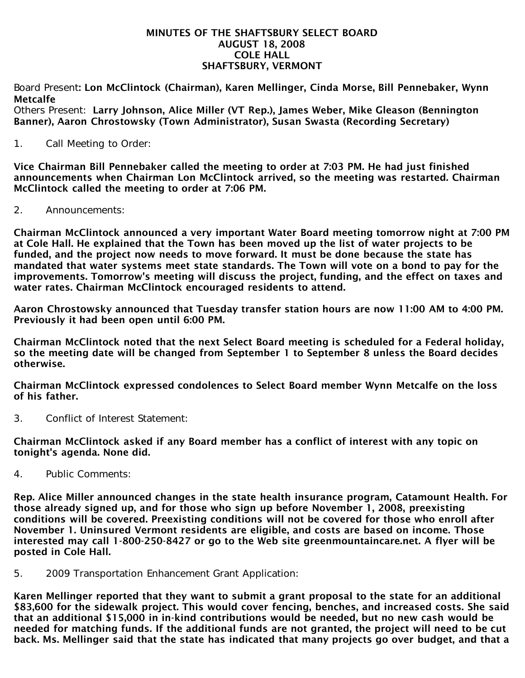#### MINUTES OF THE SHAFTSBURY SELECT BOARD AUGUST 18, 2008 COLE HALL SHAFTSBURY, VERMONT

Board Present: Lon McClintock (Chairman), Karen Mellinger, Cinda Morse, Bill Pennebaker, Wynn Metcalfe

Others Present: Larry Johnson, Alice Miller (VT Rep.), James Weber, Mike Gleason (Bennington Banner), Aaron Chrostowsky (Town Administrator), Susan Swasta (Recording Secretary)

1. Call Meeting to Order:

Vice Chairman Bill Pennebaker called the meeting to order at 7:03 PM. He had just finished announcements when Chairman Lon McClintock arrived, so the meeting was restarted. Chairman McClintock called the meeting to order at 7:06 PM.

2. Announcements:

Chairman McClintock announced a very important Water Board meeting tomorrow night at 7:00 PM at Cole Hall. He explained that the Town has been moved up the list of water projects to be funded, and the project now needs to move forward. It must be done because the state has mandated that water systems meet state standards. The Town will vote on a bond to pay for the improvements. Tomorrow's meeting will discuss the project, funding, and the effect on taxes and water rates. Chairman McClintock encouraged residents to attend.

Aaron Chrostowsky announced that Tuesday transfer station hours are now 11:00 AM to 4:00 PM. Previously it had been open until 6:00 PM.

Chairman McClintock noted that the next Select Board meeting is scheduled for a Federal holiday, so the meeting date will be changed from September 1 to September 8 unless the Board decides otherwise.

Chairman McClintock expressed condolences to Select Board member Wynn Metcalfe on the loss of his father.

3. Conflict of Interest Statement:

Chairman McClintock asked if any Board member has a conflict of interest with any topic on tonight's agenda. None did.

4. Public Comments:

Rep. Alice Miller announced changes in the state health insurance program, Catamount Health. For those already signed up, and for those who sign up before November 1, 2008, preexisting conditions will be covered. Preexisting conditions will not be covered for those who enroll after November 1. Uninsured Vermont residents are eligible, and costs are based on income. Those interested may call 1-800-250-8427 or go to the Web site greenmountaincare.net. A flyer will be posted in Cole Hall.

5. 2009 Transportation Enhancement Grant Application:

Karen Mellinger reported that they want to submit a grant proposal to the state for an additional \$83,600 for the sidewalk project. This would cover fencing, benches, and increased costs. She said that an additional \$15,000 in in-kind contributions would be needed, but no new cash would be needed for matching funds. If the additional funds are not granted, the project will need to be cut back. Ms. Mellinger said that the state has indicated that many projects go over budget, and that a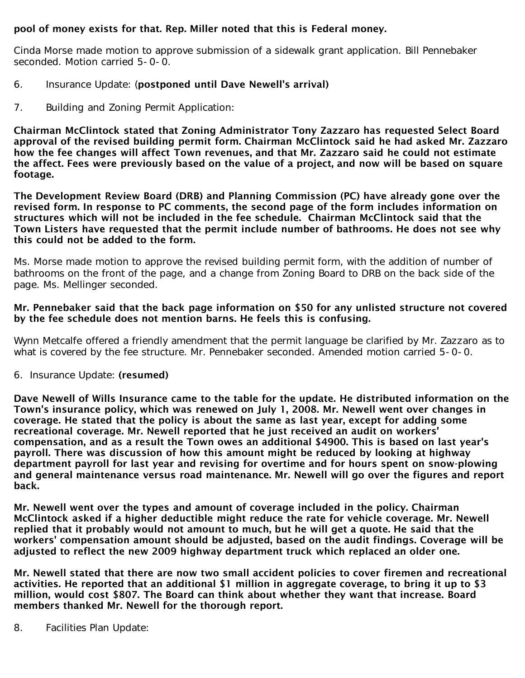## pool of money exists for that. Rep. Miller noted that this is Federal money.

Cinda Morse made motion to approve submission of a sidewalk grant application. Bill Pennebaker seconded. Motion carried 5-0-0.

- 6. Insurance Update: (postponed until Dave Newell's arrival)
- 7. Building and Zoning Permit Application:

Chairman McClintock stated that Zoning Administrator Tony Zazzaro has requested Select Board approval of the revised building permit form. Chairman McClintock said he had asked Mr. Zazzaro how the fee changes will affect Town revenues, and that Mr. Zazzaro said he could not estimate the affect. Fees were previously based on the value of a project, and now will be based on square footage.

The Development Review Board (DRB) and Planning Commission (PC) have already gone over the revised form. In response to PC comments, the second page of the form includes information on structures which will not be included in the fee schedule. Chairman McClintock said that the Town Listers have requested that the permit include number of bathrooms. He does not see why this could not be added to the form.

Ms. Morse made motion to approve the revised building permit form, with the addition of number of bathrooms on the front of the page, and a change from Zoning Board to DRB on the back side of the page. Ms. Mellinger seconded.

### Mr. Pennebaker said that the back page information on \$50 for any unlisted structure not covered by the fee schedule does not mention barns. He feels this is confusing.

Wynn Metcalfe offered a friendly amendment that the permit language be clarified by Mr. Zazzaro as to what is covered by the fee structure. Mr. Pennebaker seconded. Amended motion carried 5-0-0.

6. Insurance Update: (resumed)

Dave Newell of Wills Insurance came to the table for the update. He distributed information on the Town's insurance policy, which was renewed on July 1, 2008. Mr. Newell went over changes in coverage. He stated that the policy is about the same as last year, except for adding some recreational coverage. Mr. Newell reported that he just received an audit on workers' compensation, and as a result the Town owes an additional \$4900. This is based on last year's payroll. There was discussion of how this amount might be reduced by looking at highway department payroll for last year and revising for overtime and for hours spent on snow-plowing and general maintenance versus road maintenance. Mr. Newell will go over the figures and report back.

Mr. Newell went over the types and amount of coverage included in the policy. Chairman McClintock asked if a higher deductible might reduce the rate for vehicle coverage. Mr. Newell replied that it probably would not amount to much, but he will get a quote. He said that the workers' compensation amount should be adjusted, based on the audit findings. Coverage will be adjusted to reflect the new 2009 highway department truck which replaced an older one.

Mr. Newell stated that there are now two small accident policies to cover firemen and recreational activities. He reported that an additional \$1 million in aggregate coverage, to bring it up to \$3 million, would cost \$807. The Board can think about whether they want that increase. Board members thanked Mr. Newell for the thorough report.

8. Facilities Plan Update: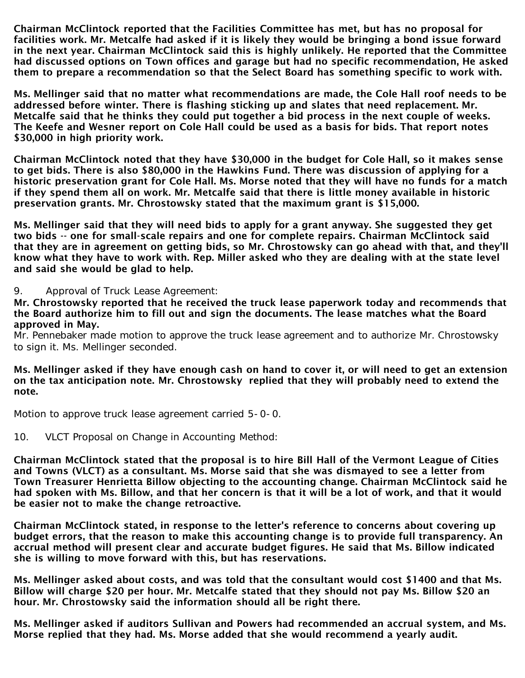Chairman McClintock reported that the Facilities Committee has met, but has no proposal for facilities work. Mr. Metcalfe had asked if it is likely they would be bringing a bond issue forward in the next year. Chairman McClintock said this is highly unlikely. He reported that the Committee had discussed options on Town offices and garage but had no specific recommendation, He asked them to prepare a recommendation so that the Select Board has something specific to work with.

Ms. Mellinger said that no matter what recommendations are made, the Cole Hall roof needs to be addressed before winter. There is flashing sticking up and slates that need replacement. Mr. Metcalfe said that he thinks they could put together a bid process in the next couple of weeks. The Keefe and Wesner report on Cole Hall could be used as a basis for bids. That report notes \$30,000 in high priority work.

Chairman McClintock noted that they have \$30,000 in the budget for Cole Hall, so it makes sense to get bids. There is also \$80,000 in the Hawkins Fund. There was discussion of applying for a historic preservation grant for Cole Hall. Ms. Morse noted that they will have no funds for a match if they spend them all on work. Mr. Metcalfe said that there is little money available in historic preservation grants. Mr. Chrostowsky stated that the maximum grant is \$15,000.

Ms. Mellinger said that they will need bids to apply for a grant anyway. She suggested they get two bids -- one for small-scale repairs and one for complete repairs. Chairman McClintock said that they are in agreement on getting bids, so Mr. Chrostowsky can go ahead with that, and they'll know what they have to work with. Rep. Miller asked who they are dealing with at the state level and said she would be glad to help.

#### 9. Approval of Truck Lease Agreement:

Mr. Chrostowsky reported that he received the truck lease paperwork today and recommends that the Board authorize him to fill out and sign the documents. The lease matches what the Board approved in May.

Mr. Pennebaker made motion to approve the truck lease agreement and to authorize Mr. Chrostowsky to sign it. Ms. Mellinger seconded.

Ms. Mellinger asked if they have enough cash on hand to cover it, or will need to get an extension on the tax anticipation note. Mr. Chrostowsky replied that they will probably need to extend the note.

Motion to approve truck lease agreement carried 5-0-0.

10. VLCT Proposal on Change in Accounting Method:

Chairman McClintock stated that the proposal is to hire Bill Hall of the Vermont League of Cities and Towns (VLCT) as a consultant. Ms. Morse said that she was dismayed to see a letter from Town Treasurer Henrietta Billow objecting to the accounting change. Chairman McClintock said he had spoken with Ms. Billow, and that her concern is that it will be a lot of work, and that it would be easier not to make the change retroactive.

Chairman McClintock stated, in response to the letter's reference to concerns about covering up budget errors, that the reason to make this accounting change is to provide full transparency. An accrual method will present clear and accurate budget figures. He said that Ms. Billow indicated she is willing to move forward with this, but has reservations.

Ms. Mellinger asked about costs, and was told that the consultant would cost \$1400 and that Ms. Billow will charge \$20 per hour. Mr. Metcalfe stated that they should not pay Ms. Billow \$20 an hour. Mr. Chrostowsky said the information should all be right there.

Ms. Mellinger asked if auditors Sullivan and Powers had recommended an accrual system, and Ms. Morse replied that they had. Ms. Morse added that she would recommend a yearly audit.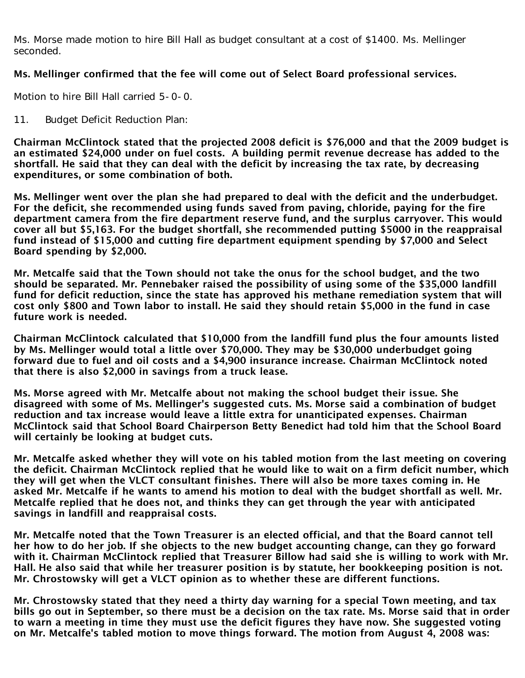Ms. Morse made motion to hire Bill Hall as budget consultant at a cost of \$1400. Ms. Mellinger seconded.

# Ms. Mellinger confirmed that the fee will come out of Select Board professional services.

Motion to hire Bill Hall carried 5-0-0.

### 11. Budget Deficit Reduction Plan:

Chairman McClintock stated that the projected 2008 deficit is \$76,000 and that the 2009 budget is an estimated \$24,000 under on fuel costs. A building permit revenue decrease has added to the shortfall. He said that they can deal with the deficit by increasing the tax rate, by decreasing expenditures, or some combination of both.

Ms. Mellinger went over the plan she had prepared to deal with the deficit and the underbudget. For the deficit, she recommended using funds saved from paving, chloride, paying for the fire department camera from the fire department reserve fund, and the surplus carryover. This would cover all but \$5,163. For the budget shortfall, she recommended putting \$5000 in the reappraisal fund instead of \$15,000 and cutting fire department equipment spending by \$7,000 and Select Board spending by \$2,000.

Mr. Metcalfe said that the Town should not take the onus for the school budget, and the two should be separated. Mr. Pennebaker raised the possibility of using some of the \$35,000 landfill fund for deficit reduction, since the state has approved his methane remediation system that will cost only \$800 and Town labor to install. He said they should retain \$5,000 in the fund in case future work is needed.

Chairman McClintock calculated that \$10,000 from the landfill fund plus the four amounts listed by Ms. Mellinger would total a little over \$70,000. They may be \$30,000 underbudget going forward due to fuel and oil costs and a \$4,900 insurance increase. Chairman McClintock noted that there is also \$2,000 in savings from a truck lease.

Ms. Morse agreed with Mr. Metcalfe about not making the school budget their issue. She disagreed with some of Ms. Mellinger's suggested cuts. Ms. Morse said a combination of budget reduction and tax increase would leave a little extra for unanticipated expenses. Chairman McClintock said that School Board Chairperson Betty Benedict had told him that the School Board will certainly be looking at budget cuts.

Mr. Metcalfe asked whether they will vote on his tabled motion from the last meeting on covering the deficit. Chairman McClintock replied that he would like to wait on a firm deficit number, which they will get when the VLCT consultant finishes. There will also be more taxes coming in. He asked Mr. Metcalfe if he wants to amend his motion to deal with the budget shortfall as well. Mr. Metcalfe replied that he does not, and thinks they can get through the year with anticipated savings in landfill and reappraisal costs.

Mr. Metcalfe noted that the Town Treasurer is an elected official, and that the Board cannot tell her how to do her job. If she objects to the new budget accounting change, can they go forward with it. Chairman McClintock replied that Treasurer Billow had said she is willing to work with Mr. Hall. He also said that while her treasurer position is by statute, her bookkeeping position is not. Mr. Chrostowsky will get a VLCT opinion as to whether these are different functions.

Mr. Chrostowsky stated that they need a thirty day warning for a special Town meeting, and tax bills go out in September, so there must be a decision on the tax rate. Ms. Morse said that in order to warn a meeting in time they must use the deficit figures they have now. She suggested voting on Mr. Metcalfe's tabled motion to move things forward. The motion from August 4, 2008 was: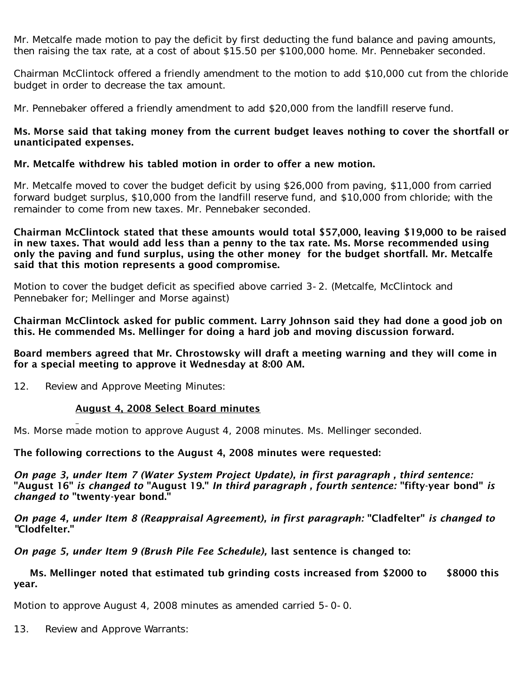Mr. Metcalfe made motion to pay the deficit by first deducting the fund balance and paving amounts, then raising the tax rate, at a cost of about \$15.50 per \$100,000 home. Mr. Pennebaker seconded.

Chairman McClintock offered a friendly amendment to the motion to add \$10,000 cut from the chloride budget in order to decrease the tax amount.

Mr. Pennebaker offered a friendly amendment to add \$20,000 from the landfill reserve fund.

#### Ms. Morse said that taking money from the current budget leaves nothing to cover the shortfall or unanticipated expenses.

### Mr. Metcalfe withdrew his tabled motion in order to offer a new motion.

Mr. Metcalfe moved to cover the budget deficit by using \$26,000 from paving, \$11,000 from carried forward budget surplus, \$10,000 from the landfill reserve fund, and \$10,000 from chloride; with the remainder to come from new taxes. Mr. Pennebaker seconded.

#### Chairman McClintock stated that these amounts would total \$57,000, leaving \$19,000 to be raised in new taxes. That would add less than a penny to the tax rate. Ms. Morse recommended using only the paving and fund surplus, using the other money for the budget shortfall. Mr. Metcalfe said that this motion represents a good compromise.

Motion to cover the budget deficit as specified above carried 3-2. (Metcalfe, McClintock and Pennebaker for; Mellinger and Morse against)

Chairman McClintock asked for public comment. Larry Johnson said they had done a good job on this. He commended Ms. Mellinger for doing a hard job and moving discussion forward.

### Board members agreed that Mr. Chrostowsky will draft a meeting warning and they will come in for a special meeting to approve it Wednesday at 8:00 AM.

12. Review and Approve Meeting Minutes:

#### August 4, 2008 Select Board minutes

Ms. Morse made motion to approve August 4, 2008 minutes. Ms. Mellinger seconded.

#### The following corrections to the August 4, 2008 minutes were requested:

*On page 3, under Item 7 (Water System Project Update), in first paragraph , third sentence:* "August 16" *is changed to* "August 19." *In third paragraph , fourth sentence:* "fifty-year bond" *is changed to* "twenty-year bond."

*On page 4, under Item 8 (Reappraisal Agreement), in first paragraph:* "Cladfelter" *is changed to "*Clodfelter."

*On page 5, under Item 9 (Brush Pile Fee Schedule),* last sentence is changed to:

### Ms. Mellinger noted that estimated tub grinding costs increased from \$2000 to \$8000 this year.

Motion to approve August 4, 2008 minutes as amended carried 5-0-0.

13. Review and Approve Warrants: